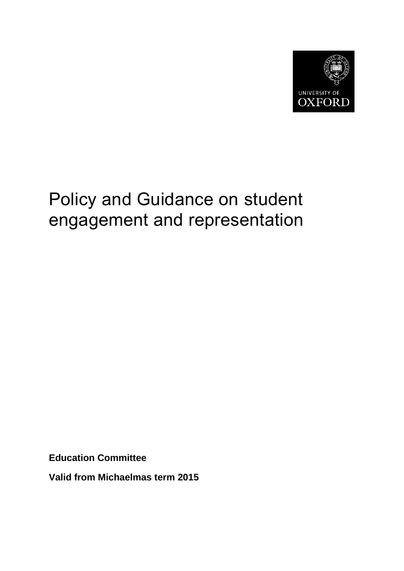

# Policy and Guidance on student engagement and representation

**Education Committee**

**Valid from Michaelmas term 2015**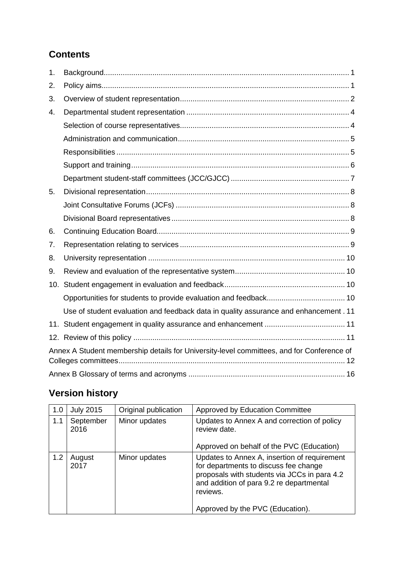## **Contents**

| 1.  |                                                                                           |  |  |  |  |  |  |  |
|-----|-------------------------------------------------------------------------------------------|--|--|--|--|--|--|--|
| 2.  |                                                                                           |  |  |  |  |  |  |  |
| 3.  |                                                                                           |  |  |  |  |  |  |  |
| 4.  |                                                                                           |  |  |  |  |  |  |  |
|     |                                                                                           |  |  |  |  |  |  |  |
|     |                                                                                           |  |  |  |  |  |  |  |
|     |                                                                                           |  |  |  |  |  |  |  |
|     |                                                                                           |  |  |  |  |  |  |  |
|     |                                                                                           |  |  |  |  |  |  |  |
| 5.  |                                                                                           |  |  |  |  |  |  |  |
|     |                                                                                           |  |  |  |  |  |  |  |
|     |                                                                                           |  |  |  |  |  |  |  |
| 6.  |                                                                                           |  |  |  |  |  |  |  |
| 7.  |                                                                                           |  |  |  |  |  |  |  |
| 8.  |                                                                                           |  |  |  |  |  |  |  |
| 9.  |                                                                                           |  |  |  |  |  |  |  |
| 10. |                                                                                           |  |  |  |  |  |  |  |
|     |                                                                                           |  |  |  |  |  |  |  |
|     | Use of student evaluation and feedback data in quality assurance and enhancement . 11     |  |  |  |  |  |  |  |
|     |                                                                                           |  |  |  |  |  |  |  |
|     |                                                                                           |  |  |  |  |  |  |  |
|     | Annex A Student membership details for University-level committees, and for Conference of |  |  |  |  |  |  |  |
|     |                                                                                           |  |  |  |  |  |  |  |

# **Version history**

| 1.0 | <b>July 2015</b>  | Original publication | Approved by Education Committee                                                                                                                                                               |
|-----|-------------------|----------------------|-----------------------------------------------------------------------------------------------------------------------------------------------------------------------------------------------|
| 1.1 | September<br>2016 | Minor updates        | Updates to Annex A and correction of policy<br>review date.                                                                                                                                   |
|     |                   |                      | Approved on behalf of the PVC (Education)                                                                                                                                                     |
| 1.2 | August<br>2017    | Minor updates        | Updates to Annex A, insertion of requirement<br>for departments to discuss fee change<br>proposals with students via JCCs in para 4.2<br>and addition of para 9.2 re departmental<br>reviews. |
|     |                   |                      | Approved by the PVC (Education).                                                                                                                                                              |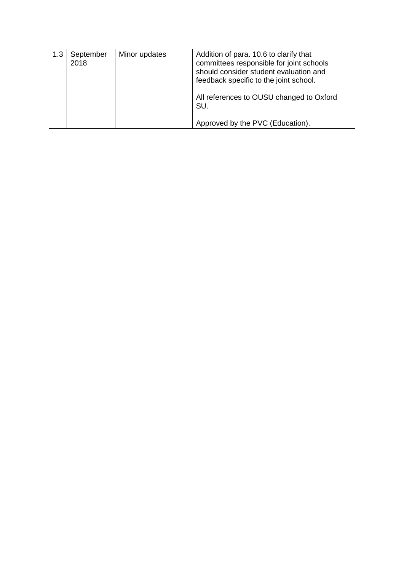| 1.3 | September<br>2018 | Minor updates | Addition of para. 10.6 to clarify that<br>committees responsible for joint schools<br>should consider student evaluation and<br>feedback specific to the joint school. |
|-----|-------------------|---------------|------------------------------------------------------------------------------------------------------------------------------------------------------------------------|
|     |                   |               | All references to OUSU changed to Oxford<br>SU.                                                                                                                        |
|     |                   |               | Approved by the PVC (Education).                                                                                                                                       |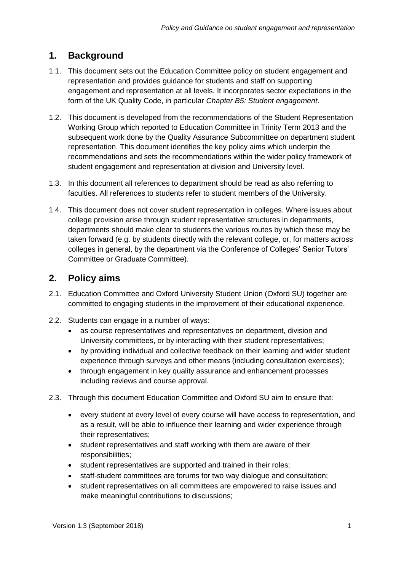## <span id="page-3-0"></span>**1. Background**

- 1.1. This document sets out the Education Committee policy on student engagement and representation and provides guidance for students and staff on supporting engagement and representation at all levels. It incorporates sector expectations in the form of the UK Quality Code, in particular *Chapter B5: Student engagement*.
- 1.2. This document is developed from the recommendations of the Student Representation Working Group which reported to Education Committee in Trinity Term 2013 and the subsequent work done by the Quality Assurance Subcommittee on department student representation. This document identifies the key policy aims which underpin the recommendations and sets the recommendations within the wider policy framework of student engagement and representation at division and University level.
- 1.3. In this document all references to department should be read as also referring to faculties. All references to students refer to student members of the University.
- 1.4. This document does not cover student representation in colleges. Where issues about college provision arise through student representative structures in departments, departments should make clear to students the various routes by which these may be taken forward (e.g. by students directly with the relevant college, or, for matters across colleges in general, by the department via the Conference of Colleges' Senior Tutors' Committee or Graduate Committee).

## <span id="page-3-1"></span>**2. Policy aims**

- 2.1. Education Committee and Oxford University Student Union (Oxford SU) together are committed to engaging students in the improvement of their educational experience.
- 2.2. Students can engage in a number of ways:
	- as course representatives and representatives on department, division and University committees, or by interacting with their student representatives;
	- by providing individual and collective feedback on their learning and wider student experience through surveys and other means (including consultation exercises);
	- through engagement in key quality assurance and enhancement processes including reviews and course approval.
- 2.3. Through this document Education Committee and Oxford SU aim to ensure that:
	- every student at every level of every course will have access to representation, and as a result, will be able to influence their learning and wider experience through their representatives;
	- student representatives and staff working with them are aware of their responsibilities;
	- student representatives are supported and trained in their roles;
	- staff-student committees are forums for two way dialogue and consultation;
	- student representatives on all committees are empowered to raise issues and make meaningful contributions to discussions;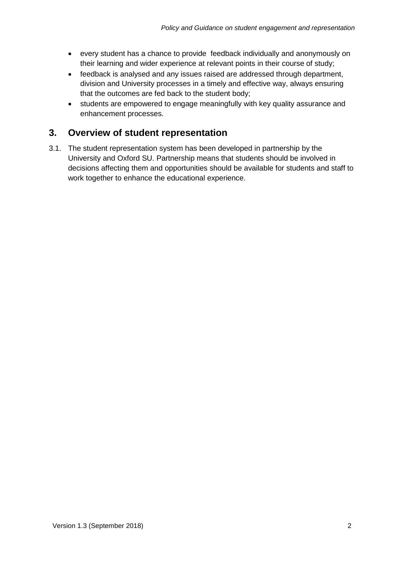- every student has a chance to provide feedback individually and anonymously on their learning and wider experience at relevant points in their course of study;
- feedback is analysed and any issues raised are addressed through department, division and University processes in a timely and effective way, always ensuring that the outcomes are fed back to the student body;
- students are empowered to engage meaningfully with key quality assurance and enhancement processes.

## <span id="page-4-0"></span>**3. Overview of student representation**

3.1. The student representation system has been developed in partnership by the University and Oxford SU. Partnership means that students should be involved in decisions affecting them and opportunities should be available for students and staff to work together to enhance the educational experience.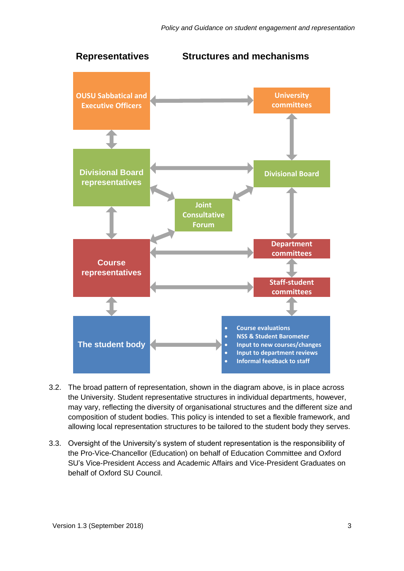

- 3.2. The broad pattern of representation, shown in the diagram above, is in place across the University. Student representative structures in individual departments, however, may vary, reflecting the diversity of organisational structures and the different size and composition of student bodies. This policy is intended to set a flexible framework, and allowing local representation structures to be tailored to the student body they serves.
- 3.3. Oversight of the University's system of student representation is the responsibility of the Pro-Vice-Chancellor (Education) on behalf of Education Committee and Oxford SU's Vice-President Access and Academic Affairs and Vice-President Graduates on behalf of Oxford SU Council.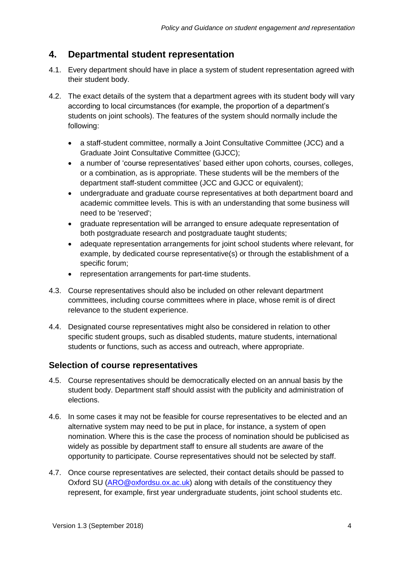## <span id="page-6-0"></span>**4. Departmental student representation**

- 4.1. Every department should have in place a system of student representation agreed with their student body.
- 4.2. The exact details of the system that a department agrees with its student body will vary according to local circumstances (for example, the proportion of a department's students on joint schools). The features of the system should normally include the following:
	- a staff-student committee, normally a Joint Consultative Committee (JCC) and a Graduate Joint Consultative Committee (GJCC);
	- a number of 'course representatives' based either upon cohorts, courses, colleges, or a combination, as is appropriate. These students will be the members of the department staff-student committee (JCC and GJCC or equivalent);
	- undergraduate and graduate course representatives at both department board and academic committee levels. This is with an understanding that some business will need to be 'reserved';
	- graduate representation will be arranged to ensure adequate representation of both postgraduate research and postgraduate taught students;
	- adequate representation arrangements for joint school students where relevant, for example, by dedicated course representative(s) or through the establishment of a specific forum;
	- representation arrangements for part-time students.
- 4.3. Course representatives should also be included on other relevant department committees, including course committees where in place, whose remit is of direct relevance to the student experience.
- 4.4. Designated course representatives might also be considered in relation to other specific student groups, such as disabled students, mature students, international students or functions, such as access and outreach, where appropriate.

#### <span id="page-6-1"></span>**Selection of course representatives**

- 4.5. Course representatives should be democratically elected on an annual basis by the student body. Department staff should assist with the publicity and administration of elections.
- 4.6. In some cases it may not be feasible for course representatives to be elected and an alternative system may need to be put in place, for instance, a system of open nomination. Where this is the case the process of nomination should be publicised as widely as possible by department staff to ensure all students are aware of the opportunity to participate. Course representatives should not be selected by staff.
- 4.7. Once course representatives are selected, their contact details should be passed to Oxford SU [\(ARO@oxfordsu.ox.ac.uk\)](mailto:ARO@oxfordsu.ox.ac.uk) along with details of the constituency they represent, for example, first year undergraduate students, joint school students etc.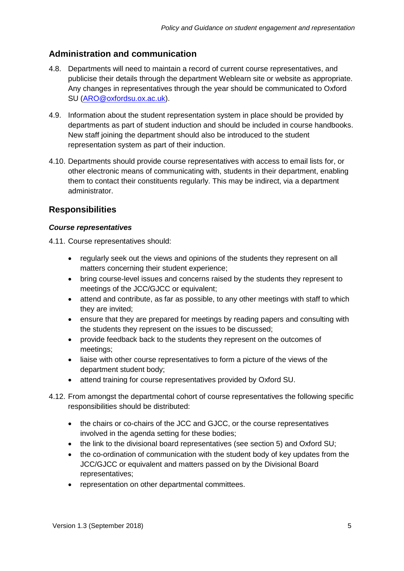#### <span id="page-7-0"></span>**Administration and communication**

- 4.8. Departments will need to maintain a record of current course representatives, and publicise their details through the department Weblearn site or website as appropriate. Any changes in representatives through the year should be communicated to Oxford SU [\(ARO@oxfordsu.ox.ac.uk\)](mailto:ARO@oxfordsu.ox.ac.uk).
- 4.9. Information about the student representation system in place should be provided by departments as part of student induction and should be included in course handbooks. New staff joining the department should also be introduced to the student representation system as part of their induction.
- 4.10. Departments should provide course representatives with access to email lists for, or other electronic means of communicating with, students in their department, enabling them to contact their constituents regularly. This may be indirect, via a department administrator.

#### <span id="page-7-1"></span>**Responsibilities**

#### *Course representatives*

4.11. Course representatives should:

- regularly seek out the views and opinions of the students they represent on all matters concerning their student experience;
- bring course-level issues and concerns raised by the students they represent to meetings of the JCC/GJCC or equivalent;
- attend and contribute, as far as possible, to any other meetings with staff to which they are invited;
- ensure that they are prepared for meetings by reading papers and consulting with the students they represent on the issues to be discussed;
- provide feedback back to the students they represent on the outcomes of meetings;
- liaise with other course representatives to form a picture of the views of the department student body;
- attend training for course representatives provided by Oxford SU.
- 4.12. From amongst the departmental cohort of course representatives the following specific responsibilities should be distributed:
	- the chairs or co-chairs of the JCC and GJCC, or the course representatives involved in the agenda setting for these bodies;
	- the link to the divisional board representatives (see section 5) and Oxford SU;
	- the co-ordination of communication with the student body of key updates from the JCC/GJCC or equivalent and matters passed on by the Divisional Board representatives;
	- representation on other departmental committees.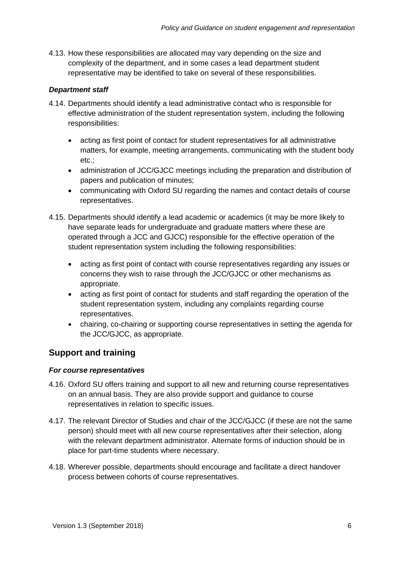4.13. How these responsibilities are allocated may vary depending on the size and complexity of the department, and in some cases a lead department student representative may be identified to take on several of these responsibilities.

#### *Department staff*

- 4.14. Departments should identify a lead administrative contact who is responsible for effective administration of the student representation system, including the following responsibilities:
	- acting as first point of contact for student representatives for all administrative matters, for example, meeting arrangements, communicating with the student body etc.;
	- administration of JCC/GJCC meetings including the preparation and distribution of papers and publication of minutes;
	- communicating with Oxford SU regarding the names and contact details of course representatives.
- 4.15. Departments should identify a lead academic or academics (it may be more likely to have separate leads for undergraduate and graduate matters where these are operated through a JCC and GJCC) responsible for the effective operation of the student representation system including the following responsibilities:
	- acting as first point of contact with course representatives regarding any issues or concerns they wish to raise through the JCC/GJCC or other mechanisms as appropriate.
	- acting as first point of contact for students and staff regarding the operation of the student representation system, including any complaints regarding course representatives.
	- chairing, co-chairing or supporting course representatives in setting the agenda for the JCC/GJCC, as appropriate.

## <span id="page-8-0"></span>**Support and training**

#### *For course representatives*

- 4.16. Oxford SU offers training and support to all new and returning course representatives on an annual basis. They are also provide support and guidance to course representatives in relation to specific issues.
- 4.17. The relevant Director of Studies and chair of the JCC/GJCC (if these are not the same person) should meet with all new course representatives after their selection, along with the relevant department administrator. Alternate forms of induction should be in place for part-time students where necessary.
- 4.18. Wherever possible, departments should encourage and facilitate a direct handover process between cohorts of course representatives.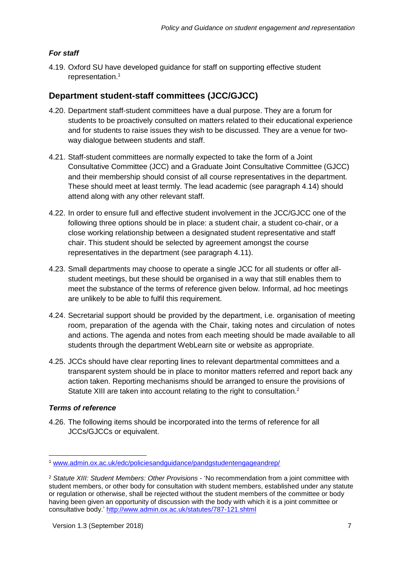#### *For staff*

4.19. Oxford SU have developed guidance for staff on supporting effective student representation.<sup>1</sup>

#### <span id="page-9-0"></span>**Department student-staff committees (JCC/GJCC)**

- 4.20. Department staff-student committees have a dual purpose. They are a forum for students to be proactively consulted on matters related to their educational experience and for students to raise issues they wish to be discussed. They are a venue for twoway dialogue between students and staff.
- 4.21. Staff-student committees are normally expected to take the form of a Joint Consultative Committee (JCC) and a Graduate Joint Consultative Committee (GJCC) and their membership should consist of all course representatives in the department. These should meet at least termly. The lead academic (see paragraph 4.14) should attend along with any other relevant staff.
- 4.22. In order to ensure full and effective student involvement in the JCC/GJCC one of the following three options should be in place: a student chair, a student co-chair, or a close working relationship between a designated student representative and staff chair. This student should be selected by agreement amongst the course representatives in the department (see paragraph 4.11).
- 4.23. Small departments may choose to operate a single JCC for all students or offer allstudent meetings, but these should be organised in a way that still enables them to meet the substance of the terms of reference given below. Informal, ad hoc meetings are unlikely to be able to fulfil this requirement.
- 4.24. Secretarial support should be provided by the department, i.e. organisation of meeting room, preparation of the agenda with the Chair, taking notes and circulation of notes and actions. The agenda and notes from each meeting should be made available to all students through the department WebLearn site or website as appropriate.
- 4.25. JCCs should have clear reporting lines to relevant departmental committees and a transparent system should be in place to monitor matters referred and report back any action taken. Reporting mechanisms should be arranged to ensure the provisions of Statute XIII are taken into account relating to the right to consultation.<sup>2</sup>

#### *Terms of reference*

-

4.26. The following items should be incorporated into the terms of reference for all JCCs/GJCCs or equivalent.

<sup>1</sup> [www.admin.ox.ac.uk/edc/policiesandguidance/pandgstudentengageandrep/](http://www.admin.ox.ac.uk/edc/policiesandguidance/pandgstudentengageandrep/)

<sup>2</sup> *Statute XIII: Student Members: Other Provisions* - 'No recommendation from a joint committee with student members, or other body for consultation with student members, established under any statute or regulation or otherwise, shall be rejected without the student members of the committee or body having been given an opportunity of discussion with the body with which it is a joint committee or consultative body.' <http://www.admin.ox.ac.uk/statutes/787-121.shtml>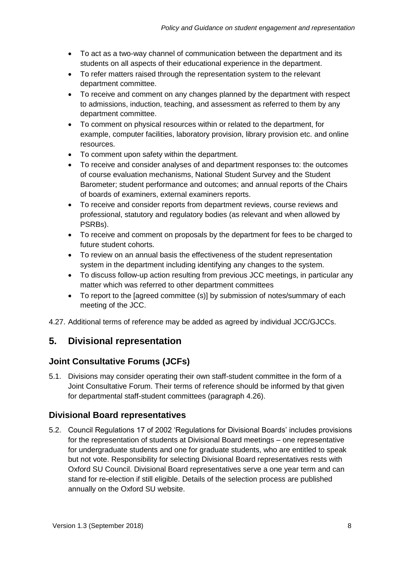- To act as a two-way channel of communication between the department and its students on all aspects of their educational experience in the department.
- To refer matters raised through the representation system to the relevant department committee.
- To receive and comment on any changes planned by the department with respect to admissions, induction, teaching, and assessment as referred to them by any department committee.
- To comment on physical resources within or related to the department, for example, computer facilities, laboratory provision, library provision etc. and online resources.
- To comment upon safety within the department.
- To receive and consider analyses of and department responses to: the outcomes of course evaluation mechanisms, National Student Survey and the Student Barometer; student performance and outcomes; and annual reports of the Chairs of boards of examiners, external examiners reports.
- To receive and consider reports from department reviews, course reviews and professional, statutory and regulatory bodies (as relevant and when allowed by PSRBs).
- To receive and comment on proposals by the department for fees to be charged to future student cohorts.
- To review on an annual basis the effectiveness of the student representation system in the department including identifying any changes to the system.
- To discuss follow-up action resulting from previous JCC meetings, in particular any matter which was referred to other department committees
- To report to the [agreed committee (s)] by submission of notes/summary of each meeting of the JCC.

4.27. Additional terms of reference may be added as agreed by individual JCC/GJCCs.

## <span id="page-10-0"></span>**5. Divisional representation**

#### <span id="page-10-1"></span>**Joint Consultative Forums (JCFs)**

5.1. Divisions may consider operating their own staff-student committee in the form of a Joint Consultative Forum. Their terms of reference should be informed by that given for departmental staff-student committees (paragraph 4.26).

#### <span id="page-10-2"></span>**Divisional Board representatives**

5.2. Council Regulations 17 of 2002 'Regulations for Divisional Boards' includes provisions for the representation of students at Divisional Board meetings – one representative for undergraduate students and one for graduate students, who are entitled to speak but not vote. Responsibility for selecting Divisional Board representatives rests with Oxford SU Council. Divisional Board representatives serve a one year term and can stand for re-election if still eligible. Details of the selection process are published annually on the Oxford SU website.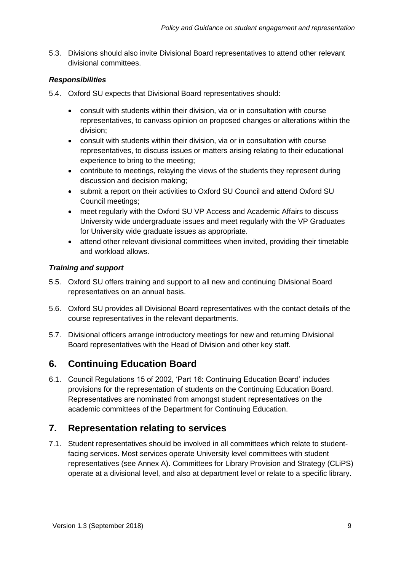5.3. Divisions should also invite Divisional Board representatives to attend other relevant divisional committees.

#### *Responsibilities*

- 5.4. Oxford SU expects that Divisional Board representatives should:
	- consult with students within their division, via or in consultation with course representatives, to canvass opinion on proposed changes or alterations within the division;
	- consult with students within their division, via or in consultation with course representatives, to discuss issues or matters arising relating to their educational experience to bring to the meeting;
	- contribute to meetings, relaying the views of the students they represent during discussion and decision making;
	- submit a report on their activities to Oxford SU Council and attend Oxford SU Council meetings;
	- meet regularly with the Oxford SU VP Access and Academic Affairs to discuss University wide undergraduate issues and meet regularly with the VP Graduates for University wide graduate issues as appropriate.
	- attend other relevant divisional committees when invited, providing their timetable and workload allows.

#### *Training and support*

- 5.5. Oxford SU offers training and support to all new and continuing Divisional Board representatives on an annual basis.
- 5.6. Oxford SU provides all Divisional Board representatives with the contact details of the course representatives in the relevant departments.
- 5.7. Divisional officers arrange introductory meetings for new and returning Divisional Board representatives with the Head of Division and other key staff.

## <span id="page-11-0"></span>**6. Continuing Education Board**

6.1. Council Regulations 15 of 2002, 'Part 16: Continuing Education Board' includes provisions for the representation of students on the Continuing Education Board. Representatives are nominated from amongst student representatives on the academic committees of the Department for Continuing Education.

## <span id="page-11-1"></span>**7. Representation relating to services**

7.1. Student representatives should be involved in all committees which relate to studentfacing services. Most services operate University level committees with student representatives (see Annex A). Committees for Library Provision and Strategy (CLiPS) operate at a divisional level, and also at department level or relate to a specific library.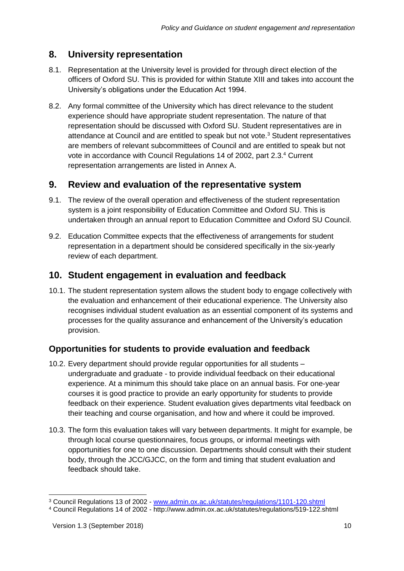## <span id="page-12-0"></span>**8. University representation**

- 8.1. Representation at the University level is provided for through direct election of the officers of Oxford SU. This is provided for within Statute XIII and takes into account the University's obligations under the Education Act 1994.
- 8.2. Any formal committee of the University which has direct relevance to the student experience should have appropriate student representation. The nature of that representation should be discussed with Oxford SU. Student representatives are in attendance at Council and are entitled to speak but not vote.<sup>3</sup> Student representatives are members of relevant subcommittees of Council and are entitled to speak but not vote in accordance with Council Regulations 14 of 2002, part 2.3. <sup>4</sup> Current representation arrangements are listed in Annex A.

## <span id="page-12-1"></span>**9. Review and evaluation of the representative system**

- 9.1. The review of the overall operation and effectiveness of the student representation system is a joint responsibility of Education Committee and Oxford SU. This is undertaken through an annual report to Education Committee and Oxford SU Council.
- 9.2. Education Committee expects that the effectiveness of arrangements for student representation in a department should be considered specifically in the six-yearly review of each department.

## <span id="page-12-2"></span>**10. Student engagement in evaluation and feedback**

10.1. The student representation system allows the student body to engage collectively with the evaluation and enhancement of their educational experience. The University also recognises individual student evaluation as an essential component of its systems and processes for the quality assurance and enhancement of the University's education provision.

#### <span id="page-12-3"></span>**Opportunities for students to provide evaluation and feedback**

- 10.2. Every department should provide regular opportunities for all students undergraduate and graduate - to provide individual feedback on their educational experience. At a minimum this should take place on an annual basis. For one-year courses it is good practice to provide an early opportunity for students to provide feedback on their experience. Student evaluation gives departments vital feedback on their teaching and course organisation, and how and where it could be improved.
- 10.3. The form this evaluation takes will vary between departments. It might for example, be through local course questionnaires, focus groups, or informal meetings with opportunities for one to one discussion. Departments should consult with their student body, through the JCC/GJCC, on the form and timing that student evaluation and feedback should take.

-

<sup>3</sup> Council Regulations 13 of 2002 - [www.admin.ox.ac.uk/statutes/regulations/1101-120.shtml](http://www.admin.ox.ac.uk/statutes/regulations/1101-120.shtml)

<sup>4</sup> Council Regulations 14 of 2002 - http://www.admin.ox.ac.uk/statutes/regulations/519-122.shtml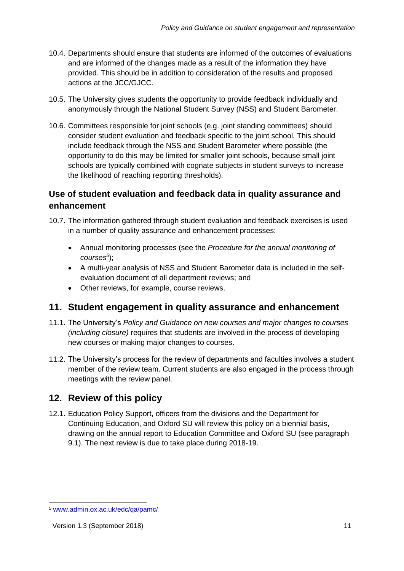- 10.4. Departments should ensure that students are informed of the outcomes of evaluations and are informed of the changes made as a result of the information they have provided. This should be in addition to consideration of the results and proposed actions at the JCC/GJCC.
- 10.5. The University gives students the opportunity to provide feedback individually and anonymously through the National Student Survey (NSS) and Student Barometer.
- 10.6. Committees responsible for joint schools (e.g. joint standing committees) should consider student evaluation and feedback specific to the joint school. This should include feedback through the NSS and Student Barometer where possible (the opportunity to do this may be limited for smaller joint schools, because small joint schools are typically combined with cognate subjects in student surveys to increase the likelihood of reaching reporting thresholds).

#### <span id="page-13-0"></span>**Use of student evaluation and feedback data in quality assurance and enhancement**

- 10.7. The information gathered through student evaluation and feedback exercises is used in a number of quality assurance and enhancement processes:
	- Annual monitoring processes (see the *Procedure for the annual monitoring of courses<sup>5</sup>* );
	- A multi-year analysis of NSS and Student Barometer data is included in the selfevaluation document of all department reviews; and
	- Other reviews, for example, course reviews.

#### <span id="page-13-1"></span>**11. Student engagement in quality assurance and enhancement**

- 11.1. The University's *Policy and Guidance on new courses and major changes to courses (including closure)* requires that students are involved in the process of developing new courses or making major changes to courses.
- 11.2. The University's process for the review of departments and faculties involves a student member of the review team. Current students are also engaged in the process through meetings with the review panel.

## <span id="page-13-2"></span>**12. Review of this policy**

12.1. Education Policy Support, officers from the divisions and the Department for Continuing Education, and Oxford SU will review this policy on a biennial basis, drawing on the annual report to Education Committee and Oxford SU (see paragraph 9.1). The next review is due to take place during 2018-19.

-

<sup>5</sup> [www.admin.ox.ac.uk/edc/qa/pamc/](http://www.admin.ox.ac.uk/edc/qa/pamc/)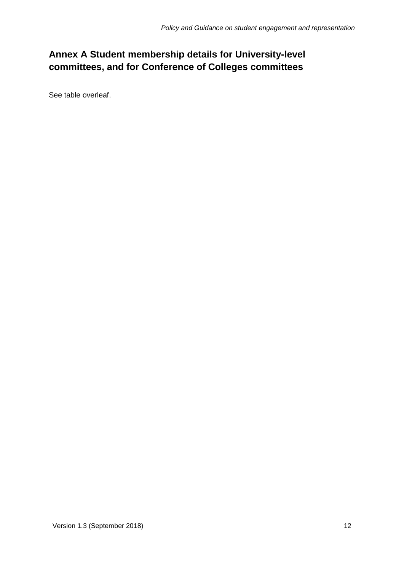# <span id="page-14-0"></span>**Annex A Student membership details for University-level committees, and for Conference of Colleges committees**

See table overleaf.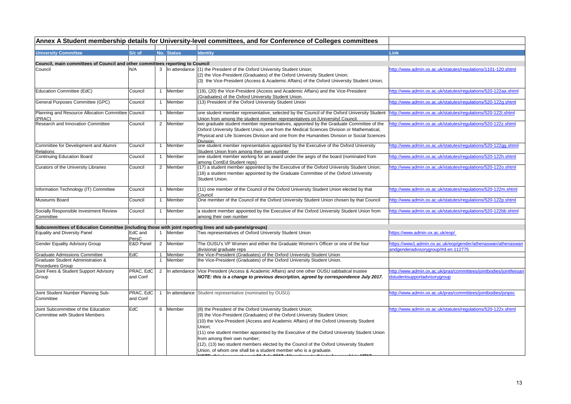|                                                                                                         |                  |                |            | Annex A Student membership details for University-level committees, and for Conference of Colleges committees                                              |                                                                   |
|---------------------------------------------------------------------------------------------------------|------------------|----------------|------------|------------------------------------------------------------------------------------------------------------------------------------------------------------|-------------------------------------------------------------------|
| <b>University Committee</b>                                                                             | S/c of           |                | No. Status | <b>Identity</b>                                                                                                                                            | <b>Link</b>                                                       |
|                                                                                                         |                  |                |            |                                                                                                                                                            |                                                                   |
| Council, main committees of Council and other committees reporting to Council                           |                  |                |            |                                                                                                                                                            |                                                                   |
| Council                                                                                                 | N/A              | 3              |            | In attendance (1) the President of the Oxford University Student Union;                                                                                    | http://www.admin.ox.ac.uk/statutes/regulations/1101-120.shtml     |
|                                                                                                         |                  |                |            | (2) the Vice-President (Graduates) of the Oxford University Student Union;                                                                                 |                                                                   |
|                                                                                                         |                  |                |            | (3) the Vice-President (Access & Academic Affairs) of the Oxford University Student Union;                                                                 |                                                                   |
| Education Committee (EdC)                                                                               | Council          |                | 1 Member   | (19), (20) the Vice-President (Access and Academic Affairs) and the Vice-President                                                                         | http://www.admin.ox.ac.uk/statutes/regulations/520-122aa.shtml    |
| General Purposes Committee (GPC)                                                                        | Council          | $\mathbf{1}$   | Member     | (Graduates) of the Oxford University Student Union.<br>(13) President of the Oxford University Student Union                                               | http://www.admin.ox.ac.uk/statutes/regulations/520-122g.shtml     |
|                                                                                                         |                  |                |            |                                                                                                                                                            |                                                                   |
| Planning and Resource Allocation Committee Council                                                      |                  |                | 1 Member   | one student member representative, selected by the Council of the Oxford University Student  http://www.admin.ox.ac.uk/statutes/regulations/520-122t.shtml |                                                                   |
| (PRAC)                                                                                                  |                  |                |            | Union from among the student member representatives on [University] Council                                                                                |                                                                   |
| Research and Innovation Committee                                                                       | Council          | $\overline{2}$ | Member     | two graduate student member representatives, appointed by the Graduate Committee of the                                                                    | http://www.admin.ox.ac.uk/statutes/regulations/520-122z.shtml     |
|                                                                                                         |                  |                |            | Oxford University Student Union, one from the Medical Sciences Division or Mathematical,                                                                   |                                                                   |
|                                                                                                         |                  |                |            | Physical and Life Sciences Division and one from the Humanities Division or Social Sciences<br>Division.                                                   |                                                                   |
| Committee for Development and Alumni                                                                    | Council          |                | 1 Member   | one student member representative appointed by the Executive of the Oxford University                                                                      | http://www.admin.ox.ac.uk/statutes/regulations/520-122gg.shtml    |
| Relations                                                                                               |                  |                |            | Student Union from among their own number                                                                                                                  |                                                                   |
| Continuing Education Board                                                                              | Council          | $\mathbf{1}$   | Member     | one student member working for an award under the aegis of the board (nominated from                                                                       | http://www.admin.ox.ac.uk/statutes/regulations/520-122h.shtml     |
|                                                                                                         | Council          |                | 2 Member   | among ContEd Student reps)                                                                                                                                 | http://www.admin.ox.ac.uk/statutes/regulations/520-122o.shtml     |
| Curators of the University Libraries                                                                    |                  |                |            | (17) a student member appointed by the Executive of the Oxford University Student Union;                                                                   |                                                                   |
|                                                                                                         |                  |                |            | (18) a student member appointed by the Graduate Committee of the Oxford University                                                                         |                                                                   |
|                                                                                                         |                  |                |            | Student Union.                                                                                                                                             |                                                                   |
| Information Technology (IT) Committee                                                                   | Council          |                | 1 Member   | (11) one member of the Council of the Oxford University Student Union elected by that                                                                      | http://www.admin.ox.ac.uk/statutes/regulations/520-122m.shtml     |
| Museums Board                                                                                           | Council          | $\mathbf{1}$   | Member     | Council<br>One member of the Council of the Oxford University Student Union chosen by that Council                                                         | http://www.admin.ox.ac.uk/statutes/regulations/520-122p.shtml     |
|                                                                                                         |                  |                |            |                                                                                                                                                            |                                                                   |
| Socially Responsible Investment Review                                                                  | Council          | $\mathbf{1}$   | Member     | a student member appointed by the Executive of the Oxford University Student Union from                                                                    | http://www.admin.ox.ac.uk/statutes/regulations/520-122bb.shtml    |
| Committee                                                                                               |                  |                |            | among their own number                                                                                                                                     |                                                                   |
|                                                                                                         |                  |                |            |                                                                                                                                                            |                                                                   |
| Subcommittees of Education Committee (including those with joint reporting lines and sub-panels/groups) |                  |                |            |                                                                                                                                                            |                                                                   |
| <b>Equality and Diversity Panel</b>                                                                     | EdC and<br>PersC |                | 1 Member   | Two representatives of Oxford University Student Union                                                                                                     | https://www.admin.ox.ac.uk/eop/                                   |
| Gender Equality Advisory Group                                                                          | E&D Panel        | $\overline{2}$ | Member     | The OUSU's VP Women and either the Graduate Women's Officer or one of the four                                                                             | https://www1.admin.ox.ac.uk/eop/gender/athenaswan/athenaswan      |
|                                                                                                         |                  |                |            | divisional graduate reps                                                                                                                                   | andgenderadvisorygroup/#d.en.112775                               |
| <b>Graduate Admissions Committee</b>                                                                    | EdC              |                | 1 Member   | the Vice-President (Graduates) of the Oxford University Student Union                                                                                      |                                                                   |
| Graduate Student Administration &                                                                       |                  | $\mathbf{1}$   | Member     | the Vice-President (Graduates) of the Oxford University Student Union.                                                                                     |                                                                   |
| Procedures Group                                                                                        |                  |                |            |                                                                                                                                                            |                                                                   |
| Joint Fees & Student Support Advisory                                                                   | PRAC, EdC        | $\overline{2}$ |            | In attendance Vice President (Access & Academic Affairs) and one other OUSU sabbatical trustee                                                             | http://www.admin.ox.ac.uk/pras/committees/jointbodies/jointfeesar |
| Group                                                                                                   | and Conf         |                |            | NOTE: this is a change to previous description, agreed by correspondence July 2017.                                                                        | dstudentsupportadvisorygroup                                      |
|                                                                                                         |                  |                |            |                                                                                                                                                            |                                                                   |
| Joint Student Number Planning Sub-                                                                      | PRAC, EdC        | $\mathbf{1}$   |            | In attendance Student representative (nominated by OUSU)                                                                                                   | http://www.admin.ox.ac.uk/pras/committees/jointbodies/jsnpsc      |
| Committee                                                                                               | and Conf         |                |            |                                                                                                                                                            |                                                                   |
|                                                                                                         |                  |                |            |                                                                                                                                                            |                                                                   |
| Joint Subcommittee of the Education                                                                     | EdC              |                | 6 Member   | (8) the President of the Oxford University Student Union;                                                                                                  | http://www.admin.ox.ac.uk/statutes/regulations/520-122x.shtml     |
| <b>Committee with Student Members</b>                                                                   |                  |                |            | (9) the Vice-President (Graduates) of the Oxford University Student Union;                                                                                 |                                                                   |
|                                                                                                         |                  |                |            | (10) the Vice-President (Access and Academic Affairs) of the Oxford University Student                                                                     |                                                                   |
|                                                                                                         |                  |                |            | Union:                                                                                                                                                     |                                                                   |
|                                                                                                         |                  |                |            | (11) one student member appointed by the Executive of the Oxford University Student Union                                                                  |                                                                   |
|                                                                                                         |                  |                |            | from among their own number;                                                                                                                               |                                                                   |
|                                                                                                         |                  |                |            | (12), (13) two student members elected by the Council of the Oxford University Student                                                                     |                                                                   |
|                                                                                                         |                  |                |            | Union, of whom one shall be a student member who is a graduate.                                                                                            |                                                                   |
|                                                                                                         |                  |                |            |                                                                                                                                                            |                                                                   |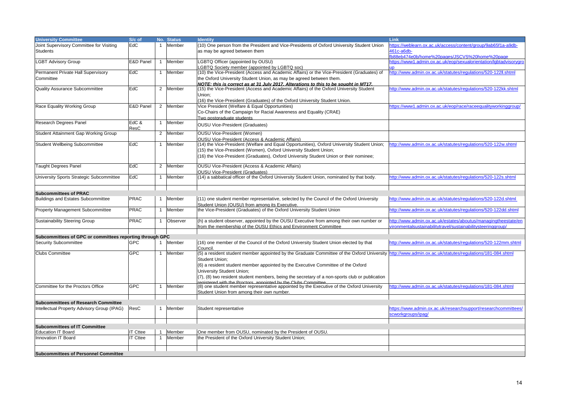| <b>University Committee</b>                              | S/c of          | No.            | <b>Status</b> | <b>Identity</b>                                                                                                                                         | Link                                                              |
|----------------------------------------------------------|-----------------|----------------|---------------|---------------------------------------------------------------------------------------------------------------------------------------------------------|-------------------------------------------------------------------|
| Joint Supervisory Committee for Visiting                 | EdC             | $\mathbf{1}$   | Member        | (10) One person from the President and Vice-Presidents of Oxford University Student Union                                                               | https://weblearn.ox.ac.uk/access/content/group/9ab65f1a-a9db-     |
|                                                          |                 |                |               |                                                                                                                                                         |                                                                   |
| <b>Students</b>                                          |                 |                |               | as may be agreed between them                                                                                                                           | 461c-a6db-                                                        |
|                                                          |                 |                |               |                                                                                                                                                         | fb88eb474e0b/home%20pages/JSCVS%20home%20page                     |
| <b>LGBT Advisory Group</b>                               | E&D Panel       | $\mathbf{1}$   | Member        | LGBTQ Officer (appointed by OUSU)                                                                                                                       | https://www1.admin.ox.ac.uk/eop/sexualorientation/lqbtadvisorygro |
|                                                          |                 |                |               | LGBTQ Society member (appointed by LGBTQ soc)                                                                                                           |                                                                   |
| Permanent Private Hall Supervisory                       | EdC             | $\mathbf{1}$   | Member        | (10) the Vice-President (Access and Academic Affairs) or the Vice-President (Graduates) of                                                              | http://www.admin.ox.ac.uk/statutes/regulations/520-122ll.shtml    |
| Committee                                                |                 |                |               | the Oxford University Student Union, as may be agreed between them.                                                                                     |                                                                   |
|                                                          |                 |                |               | NOTE: this is correct as at 31 July 2017. Alterations to this to be sought in MT17.                                                                     |                                                                   |
| <b>Quality Assurance Subcommittee</b>                    | EdC             | $\overline{2}$ | Member        | (15) the Vice-President (Access and Academic Affairs) of the Oxford University Student                                                                  | http://www.admin.ox.ac.uk/statutes/regulations/520-122kk.shtml    |
|                                                          |                 |                |               | Union;                                                                                                                                                  |                                                                   |
|                                                          |                 |                |               | (16) the Vice-President (Graduates) of the Oxford University Student Union.                                                                             |                                                                   |
|                                                          |                 |                |               |                                                                                                                                                         |                                                                   |
| Race Equality Working Group                              | E&D Panel       | $\overline{2}$ | Member        | Vice President (Welfare & Equal Opportunities)                                                                                                          | https://www1.admin.ox.ac.uk/eop/race/raceequalityworkinggroup/    |
|                                                          |                 |                |               | Co-Chairs of the Campaign for Racial Awareness and Equality (CRAE)                                                                                      |                                                                   |
|                                                          |                 |                |               | Two postgraduate students                                                                                                                               |                                                                   |
| Research Degrees Panel                                   | EdC &           | $\mathbf{1}$   | Member        | <b>OUSU Vice-President (Graduates)</b>                                                                                                                  |                                                                   |
|                                                          | ResC            |                |               |                                                                                                                                                         |                                                                   |
| Student Attainment Gap Working Group                     |                 | $\overline{2}$ | Member        | <b>OUSU Vice-President (Women)</b>                                                                                                                      |                                                                   |
|                                                          |                 |                |               | <b>OUSU Vice-President (Access &amp; Academic Affairs)</b>                                                                                              |                                                                   |
| <b>Student Wellbeing Subcommittee</b>                    | EdC             | $\mathbf 1$    | Member        | (14) the Vice-President (Welfare and Equal Opportunities), Oxford University Student Union;                                                             | http://www.admin.ox.ac.uk/statutes/regulations/520-122w.shtml     |
|                                                          |                 |                |               | (15) the Vice-President (Women), Oxford University Student Union;                                                                                       |                                                                   |
|                                                          |                 |                |               |                                                                                                                                                         |                                                                   |
|                                                          |                 |                |               | (16) the Vice-President (Graduates), Oxford University Student Union or their nominee;                                                                  |                                                                   |
|                                                          | EdC             |                |               |                                                                                                                                                         |                                                                   |
| <b>Taught Degrees Panel</b>                              |                 | $\overline{2}$ | Member        | OUSU Vice-President (Access & Academic Affairs)                                                                                                         |                                                                   |
|                                                          |                 |                |               | <b>OUSU Vice-President (Graduates)</b>                                                                                                                  |                                                                   |
| University Sports Strategic Subcommittee                 | EdC             | $\mathbf{1}$   | Member        | (14) a sabbatical officer of the Oxford University Student Union, nominated by that body.                                                               | http://www.admin.ox.ac.uk/statutes/regulations/520-122s.shtml     |
|                                                          |                 |                |               |                                                                                                                                                         |                                                                   |
|                                                          |                 |                |               |                                                                                                                                                         |                                                                   |
| <b>Subcommittees of PRAC</b>                             |                 |                |               |                                                                                                                                                         |                                                                   |
| <b>Buildings and Estates Subcommittee</b>                | <b>PRAC</b>     | $\mathbf{1}$   | Member        | (11) one student member representative, selected by the Council of the Oxford University                                                                | http://www.admin.ox.ac.uk/statutes/regulations/520-122d.shtml     |
|                                                          |                 |                |               | Student Union (OUSU) from among its Executive.                                                                                                          |                                                                   |
| <b>Property Management Subcommittee</b>                  | <b>PRAC</b>     | $\mathbf{1}$   | Member        | the Vice-President (Graduates) of the Oxford University Student Union                                                                                   | http://www.admin.ox.ac.uk/statutes/regulations/520-122dd.shtml    |
|                                                          |                 |                |               |                                                                                                                                                         |                                                                   |
| <b>Sustainability Steering Group</b>                     | <b>PRAC</b>     | $\mathbf{1}$   | Observer      | (h) a student observer, appointed by the OUSU Executive from among their own number or                                                                  | http://www.admin.ox.ac.uk/estates/aboutus/managingtheestate/en    |
|                                                          |                 |                |               | from the membership of the OUSU Ethics and Environment Committee                                                                                        | vironmentalsustainabilitytravel/sustainabilitysteeringgroup/      |
|                                                          |                 |                |               |                                                                                                                                                         |                                                                   |
| Subcommittees of GPC or committees reporting through GPC |                 |                |               |                                                                                                                                                         |                                                                   |
| <b>Security Subcommittee</b>                             | <b>GPC</b>      | $\mathbf{1}$   | Member        | (16) one member of the Council of the Oxford University Student Union elected by that                                                                   | http://www.admin.ox.ac.uk/statutes/regulations/520-122mm.shtml    |
|                                                          |                 |                |               | Council.                                                                                                                                                |                                                                   |
| <b>Clubs Committee</b>                                   | GPC             | $\mathbf{1}$   | Member        | (5) a resident student member appointed by the Graduate Committee of the Oxford University http://www.admin.ox.ac.uk/statutes/requlations/181-084.shtml |                                                                   |
|                                                          |                 |                |               |                                                                                                                                                         |                                                                   |
|                                                          |                 |                |               | Student Union:                                                                                                                                          |                                                                   |
|                                                          |                 |                |               | (6) a resident student member appointed by the Executive Committee of the Oxford                                                                        |                                                                   |
|                                                          |                 |                |               | University Student Union;                                                                                                                               |                                                                   |
|                                                          |                 |                |               | (7), (8) two resident student members, being the secretary of a non-sports club or publication                                                          |                                                                   |
|                                                          |                 |                |               | registered with the Proctors annointed by the Clube Committee                                                                                           |                                                                   |
| Committee for the Proctors Office                        | <b>GPC</b>      | $\mathbf{1}$   | Member        | (8) one student member representative appointed by the Executive of the Oxford University                                                               | http://www.admin.ox.ac.uk/statutes/regulations/181-084.shtml      |
|                                                          |                 |                |               | Student Union from among their own number.                                                                                                              |                                                                   |
|                                                          |                 |                |               |                                                                                                                                                         |                                                                   |
| <b>Subcommittees of Research Committee</b>               |                 |                |               |                                                                                                                                                         |                                                                   |
| Intellectual Property Advisory Group (IPAG)              | ResC            | $\overline{1}$ | Member        | Student representative                                                                                                                                  | https://www.admin.ox.ac.uk/researchsupport/researchcommittees/    |
|                                                          |                 |                |               |                                                                                                                                                         | scworkgroups/ipag/                                                |
|                                                          |                 |                |               |                                                                                                                                                         |                                                                   |
|                                                          |                 |                |               |                                                                                                                                                         |                                                                   |
| <b>Subcommittees of IT Committee</b>                     |                 |                |               |                                                                                                                                                         |                                                                   |
| <b>Education IT Board</b>                                | <b>IT Cttee</b> | $\mathbf{1}$   | Member        | One member from OUSU, nominated by the President of OUSU.                                                                                               |                                                                   |
| Innovation IT Board                                      | <b>IT Cttee</b> | $\mathbf{1}$   | Member        | the President of the Oxford University Student Union;                                                                                                   |                                                                   |
|                                                          |                 |                |               |                                                                                                                                                         |                                                                   |
|                                                          |                 |                |               |                                                                                                                                                         |                                                                   |
| <b>Subcommittees of Personnel Committee</b>              |                 |                |               |                                                                                                                                                         |                                                                   |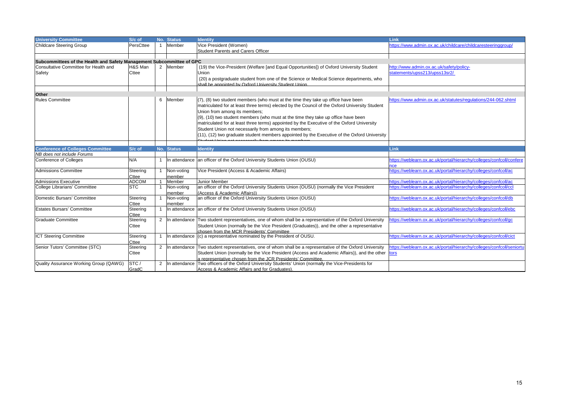| Vice President (Women)<br>PersCttee<br>Member<br>https://www.admin.ox.ac.uk/childcare/childcaresteeringgroup/<br>Student Parents and Carers Officer<br>Subcommittees of the Health and Safety Management Subcommittee of GPC<br>H&S Man<br>2 Member<br>(19) the Vice-President (Welfare [and Equal Opportunities]) of Oxford University Student<br>http://www.admin.ox.ac.uk/safety/policy-<br>statements/upss213/upss13sr2/<br>Cttee<br>Union<br>(20) a postgraduate student from one of the Science or Medical Science departments, who<br>shall be appointed by Oxford University Student Union<br>Other<br><b>Rules Committee</b><br>Member<br>$(7)$ , (8) two student members (who must at the time they take up office have been<br>https://www.admin.ox.ac.uk/statutes/regulations/244-062.shtml<br>6<br>matriculated for at least three terms) elected by the Council of the Oxford University Student<br>Union from among its members;<br>(9), (10) two student members (who must at the time they take up office have been<br>matriculated for at least three terms) appointed by the Executive of the Oxford University<br>Student Union not necessarily from among its members;<br>$(11)$ , $(12)$ two graduate student members appointed by the Executive of the Oxford University<br><b>Conference of Colleges Committee</b><br>S/c of<br>No. Status<br>Link<br><b>Identity</b><br>NB does not include Forums<br>https://weblearn.ox.ac.uk/portal/hierarchy/colleges/confcoll/confere<br><b>Conference of Colleges</b><br>N/A<br>In attendance an officer of the Oxford University Students Union (OUSU)<br>https://weblearn.ox.ac.uk/portal/hierarchy/colleges/confcoll/ac<br>Vice President (Access & Academic Affairs)<br><b>Admissions Committee</b><br>Steering<br>Non-voting<br>Cttee<br>member<br>https://weblearn.ox.ac.uk/portal/hierarchy/colleges/confcoll/ac<br>Member<br>Junior Member<br><b>Admissions Executive</b><br><b>ADCOM</b><br><b>STC</b><br>an officer of the Oxford University Students Union (OUSU) (normally the Vice President<br>https://weblearn.ox.ac.uk/portal/hierarchy/colleges/confcoll/ccl<br>College Librarians' Committee<br>Non-voting<br>(Access & Academic Affairs))<br>member<br>https://weblearn.ox.ac.uk/portal/hierarchy/colleges/confcoll/db<br>an officer of the Oxford University Students Union (OUSU)<br>Steering<br>Non-voting<br>Cttee<br>member<br><b>Estates Bursars' Committee</b><br>In attendance an officer of the Oxford University Students Union (OUSU)<br>https://weblearn.ox.ac.uk/portal/hierarchy/colleges/confcoll/ebc<br>Steering<br>Cttee<br>https://weblearn.ox.ac.uk/portal/hierarchy/colleges/confcoll/gc<br>In attendance Two student representatives, one of whom shall be a representative of the Oxford University<br><b>Graduate Committee</b><br>Steering<br>$\overline{2}$<br>Student Union (normally be the Vice President (Graduates)), and the other a representative<br>Cttee | <b>University Committee</b>            | S/c of | No. Status | <b>Identity</b> | Link |
|-------------------------------------------------------------------------------------------------------------------------------------------------------------------------------------------------------------------------------------------------------------------------------------------------------------------------------------------------------------------------------------------------------------------------------------------------------------------------------------------------------------------------------------------------------------------------------------------------------------------------------------------------------------------------------------------------------------------------------------------------------------------------------------------------------------------------------------------------------------------------------------------------------------------------------------------------------------------------------------------------------------------------------------------------------------------------------------------------------------------------------------------------------------------------------------------------------------------------------------------------------------------------------------------------------------------------------------------------------------------------------------------------------------------------------------------------------------------------------------------------------------------------------------------------------------------------------------------------------------------------------------------------------------------------------------------------------------------------------------------------------------------------------------------------------------------------------------------------------------------------------------------------------------------------------------------------------------------------------------------------------------------------------------------------------------------------------------------------------------------------------------------------------------------------------------------------------------------------------------------------------------------------------------------------------------------------------------------------------------------------------------------------------------------------------------------------------------------------------------------------------------------------------------------------------------------------------------------------------------------------------------------------------------------------------------------------------------------------------------------------------------------------------------------------------------------------------------------------------------------------------------------------------------------------------------------------------------------------------|----------------------------------------|--------|------------|-----------------|------|
|                                                                                                                                                                                                                                                                                                                                                                                                                                                                                                                                                                                                                                                                                                                                                                                                                                                                                                                                                                                                                                                                                                                                                                                                                                                                                                                                                                                                                                                                                                                                                                                                                                                                                                                                                                                                                                                                                                                                                                                                                                                                                                                                                                                                                                                                                                                                                                                                                                                                                                                                                                                                                                                                                                                                                                                                                                                                                                                                                                               | <b>Childcare Steering Group</b>        |        |            |                 |      |
|                                                                                                                                                                                                                                                                                                                                                                                                                                                                                                                                                                                                                                                                                                                                                                                                                                                                                                                                                                                                                                                                                                                                                                                                                                                                                                                                                                                                                                                                                                                                                                                                                                                                                                                                                                                                                                                                                                                                                                                                                                                                                                                                                                                                                                                                                                                                                                                                                                                                                                                                                                                                                                                                                                                                                                                                                                                                                                                                                                               |                                        |        |            |                 |      |
|                                                                                                                                                                                                                                                                                                                                                                                                                                                                                                                                                                                                                                                                                                                                                                                                                                                                                                                                                                                                                                                                                                                                                                                                                                                                                                                                                                                                                                                                                                                                                                                                                                                                                                                                                                                                                                                                                                                                                                                                                                                                                                                                                                                                                                                                                                                                                                                                                                                                                                                                                                                                                                                                                                                                                                                                                                                                                                                                                                               |                                        |        |            |                 |      |
|                                                                                                                                                                                                                                                                                                                                                                                                                                                                                                                                                                                                                                                                                                                                                                                                                                                                                                                                                                                                                                                                                                                                                                                                                                                                                                                                                                                                                                                                                                                                                                                                                                                                                                                                                                                                                                                                                                                                                                                                                                                                                                                                                                                                                                                                                                                                                                                                                                                                                                                                                                                                                                                                                                                                                                                                                                                                                                                                                                               |                                        |        |            |                 |      |
|                                                                                                                                                                                                                                                                                                                                                                                                                                                                                                                                                                                                                                                                                                                                                                                                                                                                                                                                                                                                                                                                                                                                                                                                                                                                                                                                                                                                                                                                                                                                                                                                                                                                                                                                                                                                                                                                                                                                                                                                                                                                                                                                                                                                                                                                                                                                                                                                                                                                                                                                                                                                                                                                                                                                                                                                                                                                                                                                                                               | Consultative Committee for Health and  |        |            |                 |      |
|                                                                                                                                                                                                                                                                                                                                                                                                                                                                                                                                                                                                                                                                                                                                                                                                                                                                                                                                                                                                                                                                                                                                                                                                                                                                                                                                                                                                                                                                                                                                                                                                                                                                                                                                                                                                                                                                                                                                                                                                                                                                                                                                                                                                                                                                                                                                                                                                                                                                                                                                                                                                                                                                                                                                                                                                                                                                                                                                                                               | Safety                                 |        |            |                 |      |
|                                                                                                                                                                                                                                                                                                                                                                                                                                                                                                                                                                                                                                                                                                                                                                                                                                                                                                                                                                                                                                                                                                                                                                                                                                                                                                                                                                                                                                                                                                                                                                                                                                                                                                                                                                                                                                                                                                                                                                                                                                                                                                                                                                                                                                                                                                                                                                                                                                                                                                                                                                                                                                                                                                                                                                                                                                                                                                                                                                               |                                        |        |            |                 |      |
|                                                                                                                                                                                                                                                                                                                                                                                                                                                                                                                                                                                                                                                                                                                                                                                                                                                                                                                                                                                                                                                                                                                                                                                                                                                                                                                                                                                                                                                                                                                                                                                                                                                                                                                                                                                                                                                                                                                                                                                                                                                                                                                                                                                                                                                                                                                                                                                                                                                                                                                                                                                                                                                                                                                                                                                                                                                                                                                                                                               |                                        |        |            |                 |      |
|                                                                                                                                                                                                                                                                                                                                                                                                                                                                                                                                                                                                                                                                                                                                                                                                                                                                                                                                                                                                                                                                                                                                                                                                                                                                                                                                                                                                                                                                                                                                                                                                                                                                                                                                                                                                                                                                                                                                                                                                                                                                                                                                                                                                                                                                                                                                                                                                                                                                                                                                                                                                                                                                                                                                                                                                                                                                                                                                                                               |                                        |        |            |                 |      |
|                                                                                                                                                                                                                                                                                                                                                                                                                                                                                                                                                                                                                                                                                                                                                                                                                                                                                                                                                                                                                                                                                                                                                                                                                                                                                                                                                                                                                                                                                                                                                                                                                                                                                                                                                                                                                                                                                                                                                                                                                                                                                                                                                                                                                                                                                                                                                                                                                                                                                                                                                                                                                                                                                                                                                                                                                                                                                                                                                                               |                                        |        |            |                 |      |
|                                                                                                                                                                                                                                                                                                                                                                                                                                                                                                                                                                                                                                                                                                                                                                                                                                                                                                                                                                                                                                                                                                                                                                                                                                                                                                                                                                                                                                                                                                                                                                                                                                                                                                                                                                                                                                                                                                                                                                                                                                                                                                                                                                                                                                                                                                                                                                                                                                                                                                                                                                                                                                                                                                                                                                                                                                                                                                                                                                               |                                        |        |            |                 |      |
|                                                                                                                                                                                                                                                                                                                                                                                                                                                                                                                                                                                                                                                                                                                                                                                                                                                                                                                                                                                                                                                                                                                                                                                                                                                                                                                                                                                                                                                                                                                                                                                                                                                                                                                                                                                                                                                                                                                                                                                                                                                                                                                                                                                                                                                                                                                                                                                                                                                                                                                                                                                                                                                                                                                                                                                                                                                                                                                                                                               |                                        |        |            |                 |      |
|                                                                                                                                                                                                                                                                                                                                                                                                                                                                                                                                                                                                                                                                                                                                                                                                                                                                                                                                                                                                                                                                                                                                                                                                                                                                                                                                                                                                                                                                                                                                                                                                                                                                                                                                                                                                                                                                                                                                                                                                                                                                                                                                                                                                                                                                                                                                                                                                                                                                                                                                                                                                                                                                                                                                                                                                                                                                                                                                                                               |                                        |        |            |                 |      |
|                                                                                                                                                                                                                                                                                                                                                                                                                                                                                                                                                                                                                                                                                                                                                                                                                                                                                                                                                                                                                                                                                                                                                                                                                                                                                                                                                                                                                                                                                                                                                                                                                                                                                                                                                                                                                                                                                                                                                                                                                                                                                                                                                                                                                                                                                                                                                                                                                                                                                                                                                                                                                                                                                                                                                                                                                                                                                                                                                                               |                                        |        |            |                 |      |
|                                                                                                                                                                                                                                                                                                                                                                                                                                                                                                                                                                                                                                                                                                                                                                                                                                                                                                                                                                                                                                                                                                                                                                                                                                                                                                                                                                                                                                                                                                                                                                                                                                                                                                                                                                                                                                                                                                                                                                                                                                                                                                                                                                                                                                                                                                                                                                                                                                                                                                                                                                                                                                                                                                                                                                                                                                                                                                                                                                               |                                        |        |            |                 |      |
|                                                                                                                                                                                                                                                                                                                                                                                                                                                                                                                                                                                                                                                                                                                                                                                                                                                                                                                                                                                                                                                                                                                                                                                                                                                                                                                                                                                                                                                                                                                                                                                                                                                                                                                                                                                                                                                                                                                                                                                                                                                                                                                                                                                                                                                                                                                                                                                                                                                                                                                                                                                                                                                                                                                                                                                                                                                                                                                                                                               |                                        |        |            |                 |      |
|                                                                                                                                                                                                                                                                                                                                                                                                                                                                                                                                                                                                                                                                                                                                                                                                                                                                                                                                                                                                                                                                                                                                                                                                                                                                                                                                                                                                                                                                                                                                                                                                                                                                                                                                                                                                                                                                                                                                                                                                                                                                                                                                                                                                                                                                                                                                                                                                                                                                                                                                                                                                                                                                                                                                                                                                                                                                                                                                                                               |                                        |        |            |                 |      |
|                                                                                                                                                                                                                                                                                                                                                                                                                                                                                                                                                                                                                                                                                                                                                                                                                                                                                                                                                                                                                                                                                                                                                                                                                                                                                                                                                                                                                                                                                                                                                                                                                                                                                                                                                                                                                                                                                                                                                                                                                                                                                                                                                                                                                                                                                                                                                                                                                                                                                                                                                                                                                                                                                                                                                                                                                                                                                                                                                                               |                                        |        |            |                 |      |
|                                                                                                                                                                                                                                                                                                                                                                                                                                                                                                                                                                                                                                                                                                                                                                                                                                                                                                                                                                                                                                                                                                                                                                                                                                                                                                                                                                                                                                                                                                                                                                                                                                                                                                                                                                                                                                                                                                                                                                                                                                                                                                                                                                                                                                                                                                                                                                                                                                                                                                                                                                                                                                                                                                                                                                                                                                                                                                                                                                               |                                        |        |            |                 |      |
|                                                                                                                                                                                                                                                                                                                                                                                                                                                                                                                                                                                                                                                                                                                                                                                                                                                                                                                                                                                                                                                                                                                                                                                                                                                                                                                                                                                                                                                                                                                                                                                                                                                                                                                                                                                                                                                                                                                                                                                                                                                                                                                                                                                                                                                                                                                                                                                                                                                                                                                                                                                                                                                                                                                                                                                                                                                                                                                                                                               |                                        |        |            |                 |      |
|                                                                                                                                                                                                                                                                                                                                                                                                                                                                                                                                                                                                                                                                                                                                                                                                                                                                                                                                                                                                                                                                                                                                                                                                                                                                                                                                                                                                                                                                                                                                                                                                                                                                                                                                                                                                                                                                                                                                                                                                                                                                                                                                                                                                                                                                                                                                                                                                                                                                                                                                                                                                                                                                                                                                                                                                                                                                                                                                                                               |                                        |        |            |                 |      |
|                                                                                                                                                                                                                                                                                                                                                                                                                                                                                                                                                                                                                                                                                                                                                                                                                                                                                                                                                                                                                                                                                                                                                                                                                                                                                                                                                                                                                                                                                                                                                                                                                                                                                                                                                                                                                                                                                                                                                                                                                                                                                                                                                                                                                                                                                                                                                                                                                                                                                                                                                                                                                                                                                                                                                                                                                                                                                                                                                                               |                                        |        |            |                 |      |
|                                                                                                                                                                                                                                                                                                                                                                                                                                                                                                                                                                                                                                                                                                                                                                                                                                                                                                                                                                                                                                                                                                                                                                                                                                                                                                                                                                                                                                                                                                                                                                                                                                                                                                                                                                                                                                                                                                                                                                                                                                                                                                                                                                                                                                                                                                                                                                                                                                                                                                                                                                                                                                                                                                                                                                                                                                                                                                                                                                               |                                        |        |            |                 |      |
|                                                                                                                                                                                                                                                                                                                                                                                                                                                                                                                                                                                                                                                                                                                                                                                                                                                                                                                                                                                                                                                                                                                                                                                                                                                                                                                                                                                                                                                                                                                                                                                                                                                                                                                                                                                                                                                                                                                                                                                                                                                                                                                                                                                                                                                                                                                                                                                                                                                                                                                                                                                                                                                                                                                                                                                                                                                                                                                                                                               |                                        |        |            |                 |      |
|                                                                                                                                                                                                                                                                                                                                                                                                                                                                                                                                                                                                                                                                                                                                                                                                                                                                                                                                                                                                                                                                                                                                                                                                                                                                                                                                                                                                                                                                                                                                                                                                                                                                                                                                                                                                                                                                                                                                                                                                                                                                                                                                                                                                                                                                                                                                                                                                                                                                                                                                                                                                                                                                                                                                                                                                                                                                                                                                                                               |                                        |        |            |                 |      |
|                                                                                                                                                                                                                                                                                                                                                                                                                                                                                                                                                                                                                                                                                                                                                                                                                                                                                                                                                                                                                                                                                                                                                                                                                                                                                                                                                                                                                                                                                                                                                                                                                                                                                                                                                                                                                                                                                                                                                                                                                                                                                                                                                                                                                                                                                                                                                                                                                                                                                                                                                                                                                                                                                                                                                                                                                                                                                                                                                                               |                                        |        |            |                 |      |
|                                                                                                                                                                                                                                                                                                                                                                                                                                                                                                                                                                                                                                                                                                                                                                                                                                                                                                                                                                                                                                                                                                                                                                                                                                                                                                                                                                                                                                                                                                                                                                                                                                                                                                                                                                                                                                                                                                                                                                                                                                                                                                                                                                                                                                                                                                                                                                                                                                                                                                                                                                                                                                                                                                                                                                                                                                                                                                                                                                               | Domestic Bursars' Committee            |        |            |                 |      |
|                                                                                                                                                                                                                                                                                                                                                                                                                                                                                                                                                                                                                                                                                                                                                                                                                                                                                                                                                                                                                                                                                                                                                                                                                                                                                                                                                                                                                                                                                                                                                                                                                                                                                                                                                                                                                                                                                                                                                                                                                                                                                                                                                                                                                                                                                                                                                                                                                                                                                                                                                                                                                                                                                                                                                                                                                                                                                                                                                                               |                                        |        |            |                 |      |
|                                                                                                                                                                                                                                                                                                                                                                                                                                                                                                                                                                                                                                                                                                                                                                                                                                                                                                                                                                                                                                                                                                                                                                                                                                                                                                                                                                                                                                                                                                                                                                                                                                                                                                                                                                                                                                                                                                                                                                                                                                                                                                                                                                                                                                                                                                                                                                                                                                                                                                                                                                                                                                                                                                                                                                                                                                                                                                                                                                               |                                        |        |            |                 |      |
|                                                                                                                                                                                                                                                                                                                                                                                                                                                                                                                                                                                                                                                                                                                                                                                                                                                                                                                                                                                                                                                                                                                                                                                                                                                                                                                                                                                                                                                                                                                                                                                                                                                                                                                                                                                                                                                                                                                                                                                                                                                                                                                                                                                                                                                                                                                                                                                                                                                                                                                                                                                                                                                                                                                                                                                                                                                                                                                                                                               |                                        |        |            |                 |      |
|                                                                                                                                                                                                                                                                                                                                                                                                                                                                                                                                                                                                                                                                                                                                                                                                                                                                                                                                                                                                                                                                                                                                                                                                                                                                                                                                                                                                                                                                                                                                                                                                                                                                                                                                                                                                                                                                                                                                                                                                                                                                                                                                                                                                                                                                                                                                                                                                                                                                                                                                                                                                                                                                                                                                                                                                                                                                                                                                                                               |                                        |        |            |                 |      |
|                                                                                                                                                                                                                                                                                                                                                                                                                                                                                                                                                                                                                                                                                                                                                                                                                                                                                                                                                                                                                                                                                                                                                                                                                                                                                                                                                                                                                                                                                                                                                                                                                                                                                                                                                                                                                                                                                                                                                                                                                                                                                                                                                                                                                                                                                                                                                                                                                                                                                                                                                                                                                                                                                                                                                                                                                                                                                                                                                                               |                                        |        |            |                 |      |
| chosen from the MCR Presidents' Committee<br>https://weblearn.ox.ac.uk/portal/hierarchy/colleges/confcoll/cict                                                                                                                                                                                                                                                                                                                                                                                                                                                                                                                                                                                                                                                                                                                                                                                                                                                                                                                                                                                                                                                                                                                                                                                                                                                                                                                                                                                                                                                                                                                                                                                                                                                                                                                                                                                                                                                                                                                                                                                                                                                                                                                                                                                                                                                                                                                                                                                                                                                                                                                                                                                                                                                                                                                                                                                                                                                                |                                        |        |            |                 |      |
| Steering<br>In attendance (c) a representative nominated by the President of OUSU.<br>Cttee                                                                                                                                                                                                                                                                                                                                                                                                                                                                                                                                                                                                                                                                                                                                                                                                                                                                                                                                                                                                                                                                                                                                                                                                                                                                                                                                                                                                                                                                                                                                                                                                                                                                                                                                                                                                                                                                                                                                                                                                                                                                                                                                                                                                                                                                                                                                                                                                                                                                                                                                                                                                                                                                                                                                                                                                                                                                                   | <b>ICT Steering Committee</b>          |        |            |                 |      |
| In attendance Two student representatives, one of whom shall be a representative of the Oxford University<br>https://weblearn.ox.ac.uk/portal/hierarchy/colleges/confcoll/seniort<br>Steering<br>$\overline{2}$                                                                                                                                                                                                                                                                                                                                                                                                                                                                                                                                                                                                                                                                                                                                                                                                                                                                                                                                                                                                                                                                                                                                                                                                                                                                                                                                                                                                                                                                                                                                                                                                                                                                                                                                                                                                                                                                                                                                                                                                                                                                                                                                                                                                                                                                                                                                                                                                                                                                                                                                                                                                                                                                                                                                                               | Senior Tutors' Committee (STC)         |        |            |                 |      |
| Student Union (normally be the Vice President (Access and Academic Affairs)), and the other<br>Cttee<br>tors                                                                                                                                                                                                                                                                                                                                                                                                                                                                                                                                                                                                                                                                                                                                                                                                                                                                                                                                                                                                                                                                                                                                                                                                                                                                                                                                                                                                                                                                                                                                                                                                                                                                                                                                                                                                                                                                                                                                                                                                                                                                                                                                                                                                                                                                                                                                                                                                                                                                                                                                                                                                                                                                                                                                                                                                                                                                  |                                        |        |            |                 |      |
| a representative chosen from the JCR Presidents' Committee.                                                                                                                                                                                                                                                                                                                                                                                                                                                                                                                                                                                                                                                                                                                                                                                                                                                                                                                                                                                                                                                                                                                                                                                                                                                                                                                                                                                                                                                                                                                                                                                                                                                                                                                                                                                                                                                                                                                                                                                                                                                                                                                                                                                                                                                                                                                                                                                                                                                                                                                                                                                                                                                                                                                                                                                                                                                                                                                   |                                        |        |            |                 |      |
| STC/<br>In attendance Two officers of the Oxford University Students' Union (normally the Vice-Presidents for<br>$\overline{2}$                                                                                                                                                                                                                                                                                                                                                                                                                                                                                                                                                                                                                                                                                                                                                                                                                                                                                                                                                                                                                                                                                                                                                                                                                                                                                                                                                                                                                                                                                                                                                                                                                                                                                                                                                                                                                                                                                                                                                                                                                                                                                                                                                                                                                                                                                                                                                                                                                                                                                                                                                                                                                                                                                                                                                                                                                                               | Quality Assurance Working Group (QAWG) |        |            |                 |      |
| GradC<br>Access & Academic Affairs and for Graduates).                                                                                                                                                                                                                                                                                                                                                                                                                                                                                                                                                                                                                                                                                                                                                                                                                                                                                                                                                                                                                                                                                                                                                                                                                                                                                                                                                                                                                                                                                                                                                                                                                                                                                                                                                                                                                                                                                                                                                                                                                                                                                                                                                                                                                                                                                                                                                                                                                                                                                                                                                                                                                                                                                                                                                                                                                                                                                                                        |                                        |        |            |                 |      |